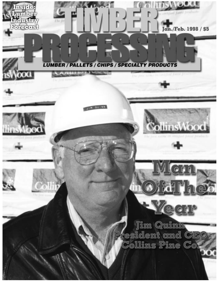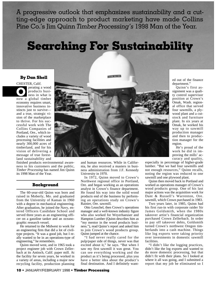A progressive outlook that emphasizes sustainability and a cutting-edge approach to product marketing have made Collins Pine Co.'s Jim Quinn *Timber Processing's* 1998 Man of the Year.

## **Searching For Sustainability**

## **By Dan Shell**

CHESTER, Calif. perating a wood products business in what is **O**<br> **O**<br>
products business in what is<br>
now a global timber economy requires smart, innovative business instincts just to survive and a true, strategic vision of the marketplace to thrive. For his successful work with The Collins Companies of Portland, Ore., which includes a variety of wood processing facilities and nearly 300,000 acres of timberland, and for his vision of delivering a message of true forestland sustainability and

finished products environmental awareness to his customers and the public, *Timber Processing* has named Jim Quinn its 1998 Man of the Year.

#### **Background**

The 60-year-old Quinn was born and raised in Moberly, Mo. and graduated from the University of Kansas in 1960 with a degree in mechanical engineering. After graduation, he joined the Navy, entered Officers Candidate School and served three years as an engineering officer on a gasoline tanker and an oceanographic research vessel.

He returned to the Midwest to work for an engineering firm that did a lot of civiltype projects. "It was a good job, but I really wanted to be in an operations-type of engineering," he remembers.

Quinn moved west, and in 1965 took a project engineer job with Crown Zellerbach at its Antioch, Calif. paper mill. At the facility for seven years, he worked in a variety of areas, including a major new recycling facility, production planning



and human resources. While in California, he also received a masters in business administration from J.F. Kennedy University in 1970.

In 1972, Quinn moved to Crown's Northwest regional office in Portland, Ore. and began working as an operations analyst in Crown's finance department. He found his way into the solid wood products end of the business by performing an operations study on Crown's Rainier, Ore. sawmill.

Otto Leuschel, then Crown's operations manager and a well-known industry figure who also worked for Weyerhaeuser and Hampton Lumber (Quinn describes him as "my mentor in the wood products business."), read Quinn's report and asked him to join Crown's wood products group. Quinn jumped at the chance.

"I had never really cared for the pulp/paper side of things, never was that excited about it," he says. "But when I saw my first sawmill it was great. You can see everything working and the product as it's being processed, plus you have a better idea about the product's final destination. And I definitely wanted out of the finance department."

Quinn's first assignment was a quality control supervisor position at Crown's Omak, Wash. regional office that served four sawmills, a plywood plant and a cutstock and furniture plant. In six years at Omak, he worked his way up to sawmill production manager and then to production manager for the region.

He's proud of the work he did in improving the mills' accuracy and quality,

especially in percentage of higher-grade lumber. "But we had four sawmills and not enough resources," Quinn recalls, noting the region was reduced to one sawmill and one plywood plant.

Quinn then moved back to Portland and worked as operations manager of Crown's wood products group. One of his last major actions was the acquisition work for Dant & Russell's Warrenton, Ore. sawmill, which Crown purchased in 1983.

Two years later, in 1985, Quinn had his first run-in with corporate raider Sir James Goldsmith, when the 1980s takeover artist's financial organization purchased Crown Zellerbach. In order to pay off takeover debts, Goldsmith turned Crown's northwest Oregon timberlands into a cash machine. Things like log exports were taking priority over investments in domestic sawmill facilities.

"I didn't like the logging practices, didn't like the log exports and wanted to do more domestic processing, but that didn't fit with their plans. So I looked at where it all was going, and I submitted a report that my job be eliminated so I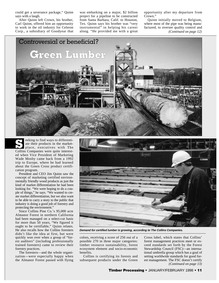could get a severance package," Quinn says with a laugh.

After Quinn left Crown, his brother, Carl Quinn, offered him an opportunity to work in the oil industry for Celeron Corp., a subsidiary of Goodyear that was embarking on a major, \$2 billion project for a pipeline to be constructed from Santa Barbara, Calif. to Houston, Tex. Quinn says his brother was "very instrumental" in helping his career along. "He provided me with a great

opportunity after my departure from Crown."

Quinn initially moved to Belgium, where most of the pipe was being manufactured, to oversee quality control and *(Continued on page 12)*



eeking to find ways to differentiate their products in the marketplace, executives with The Collins Companies were quite interested when Vice President of Marketing Wade Mosby came back from a 1992 trip to Europe, where he had learned about the Green Cross product certification program. **S**

President and CEO Jim Quinn saw the concept of marketing certified environmentally friendly wood products as just the kind of market differentiation he had been looking for. "We were hoping to do a couple of things," he says. "We wanted to create market differentiation, but we also want to be able to carry a story to the public that industry is doing a good job of forestry and protecting the environment."

Since Collins Pine Co.'s 95,000 acre Almanor Forest in northern California had been managed on a select-cut basis for more than 50 years, "We figured it ought to be certifiable," Quinn relates. He also recalls how the Collins foresters didn't like the idea at first, but were quickly won over when a group of "forest auditors" (including professionally trained foresters) came to review their forestry practices.

The foresters—and the whole organization—were especially happy when the Almanor Forest passed with flying



**Demand for certified lumber is growing, according to The Collins Companies.**

colors, receiving a score of 256 out of a possible 270 in three major categories: timber resource sustainability, forest ecosystem element and socio-economic benefits.

Collins is certifying its forests and subsequent products under the Green Cross label, which states that Collins' forest management practices meet or exceed standards set forth by the Forest Stewardship Council (FSC)—an international umbrella group which has a goal of setting worldwide standards for good forest management. The FSC doesn't certify *(Continued on page 13)*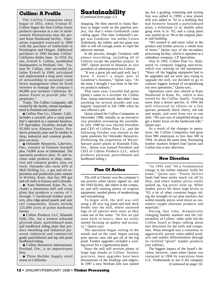## **Collins: A Profile**

The Collins Companies story began in 1855, when Truman D. Collins began the first Collins forest products operation at a site in northwestern Pennsylvania near the present Kane Hardwood facility. Operations expanded westward in 1900 with the purchase of timberland in Washington and Oregon. Additional purchases in 1902 became Collins' California timber base. In 1918, his son, Everell S. Collins, established headquarters in Portland, Ore. Truman W. Collins, who succeeded his father Everell in 1940, articulated and implemented a long term vision of stewardship in sustained yield forest management when he hired foresters to manage the company's 94,000 acre northern California Almanor Forest to provide jobs "in perpetuity."

Today, The Collins Companies, still owned by the family, remain headquartered in Portland and consist of:

● Collins Pine Co., Chester, Calif., includes a sawmill, plus a cutup plant that's operated as a separate business, CP Specialties. Facilities include the 95,000 acre Almanor Forest. Produces primarily pine and fir lumber in shop, industrial and common grades, plus cut stock.

• Ostrander Resources, Lakeview, Ore., consists of Fremont Sawmill plus 74,000 acres of timberland. The operation produces pine, fir and incense cedar products in shop, industrial and common grades, plus cut stock. Ostrander also owns 42% of Mull Drilling Co., a gas and oil exploration and production joint venture in Wichita, Kans. that has 200 gas and oil wells in Kansas and Colorado.

● Kane Hardwood, Kane, Pa., includes a dimension mill and cutup plant that produces a variety of  $\frac{4}{4}$ through 12⁄4 hardwood lumber products, plus edge-glued panels and stair rail components. Assets include 125,000 acres of prime hardwood forests.

● Collins Products LLC, Klamath Falls, Ore., has a western softwood plywood plant, particleboard plant and hardboard siding plant that produce sheathing and industrial plywood, industrial and commercial grade particleboard and lap and panel hardboard siding.

● Collins Resources International, Portland, Ore., is an import/export firm.

● Three Builder Supply retail stores in California.

## **Sustainability**

*(Continued from page 11)*

shipping. He then moved to Santa Barbara to begin work on the pipeline project, but that's when Goldsmith came calling again. This time Goldsmith's target was Goodyear, but unlike Crown Zellerbach, the rubber and tire giant was able to sell off enough assets to repel the takeover attempt.

In the process, though, Goodyear sold almost everything, including all of Celeron except the pipeline project. In 1987, Quinn moved to Houston as vice president of administration for Celeron.

"It was a great job and paid well, but I knew it wasn't a major part of Goodyear's business," Quinn says. "At the time, I thought I was done in the forest products industry."

That same year, Leuschel had given Quinn's name to a recruiter for Collins Pine. Quinn interviewed, then didn't hear anything for several months and was happily surprised in fall 1988 when he was offered a job.

Quinn joined the Collins Companies in December 1988, initially as an executive vice president overseeing the sawmills. In July 1989 he was elected President and CEO of Collins Pine Co., and the following October was elected to the same positions for Ostrander Resources. (Following the acquisition of Weyerhaeuser panel plants in Klamath Falls, Ore., Quinn was named President and CEO of Collins Products LLC, which produces plywood, particleboard and hardboard siding.)

## **Plan Of Action**

The mill at Chester was the company's top priority when Quinn signed on, and the 1943 facility, the oldest in the company and still running plenty of original equipment, needed plenty of modernizing and streamlining.

To begin with, the mill was still using a 40 acre log pond and bull deck feeder into the mill, where unsorted logs of all species were sawn as they came out of the water. "At first we just went back to basics, then we really started focusing on quality and accuracy," Quinn says.

The operation began sorting in the woods and on the yard, began sawing pure species runs and got rid of the log pond. Further upgrades included a cooling tower for a cogeneration plant.

Since the mill still receives plenty of large logs thanks to Collins' forestry practices, most upgrades have been downstream of the headrigs and edgers: In 1997 a new Wellons kiln was started

up, but a grading, trimming and sorting line was added in 1990; a new planer mill was added in '92 in a building that had formerly housed a particleboard plant; a Schurman 12 in. double arbor gang went in in '93; and a cutup plant was started up in '94 in the original planer mill building.

"We wanted to add more value to the product and further process a whole host of items," Quinn says of the secondary processing facility, which is operated as a subsidiary company, CP Specialties.

Also in 1992, Collins Pine Co. eliminated its company logging operation, which was running on old equipment. "Since all the logging equipment had to be upgraded and we were also trying to upgrade the mill, we decided to go to contract loggers instead of recapitalizing our own operations," Quinn says.

Operations were also altered at Kane Hardwood in Kane, Pa., which is also owned by the Collins family. Cutting more than a dozen species, in 1994 the mill refocused its efforts on a few species, primarily black cherry, red oak and maple, and went from two to one shift. "We just sort of simplified things to get a better focus on the hardwood side," Quinn says.

As a result of the changes in operations, the Collins Companies had gone from 900 employees to less than 500 in 1994. At about the same time, fluctuating lumber markets helped lead Quinn and Collins into a new direction.

## **New Direction**

"In 1993 and '94 a fundamental change in the timber industry really hit home," Quinn says. "Forest Service lands had been pretty much cut off by then, and when lumber prices really spiked up, log prices went up. When lumber prices hit those high levels in '93, a lot of other countries began riding the strength of our pine markets, but within months prices went down as customers sought alternate products and materials."

During that time, dramatically changing lumber markets and the vulnerability of Collins' older mills led the Collins board to begin talking about new directions for the mills and companies. What emerged was a consensus to aggressively pursue value-added products and market differentiation through its certified "green" lumber products (see sidebar).

The biggest impact of the board's decision, however, came when Quinn was contacted in 1996 by executives from U.S. Timberlands to see if the company *(Continued on page 15)*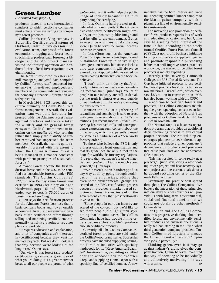## **Green Lumber**

*(Continued from page 11)*

products; instead, it sets international standards to which certifying companies must adhere when evaluating any company's forest practices.

Collins Pine's certifying company is Scientific Certification Systems of Oakland, Calif. A five-person SCS evaluation team, composed of a forest economist, a logging and forest health specialist, a professional forester, a biologist and the SCS project manager, visited the forestry operation and conducted three field investigations over eight months.

The team interviewed foresters and mill managers, analyzed data compiled by Collins' forestry staff, conducted forest surveys, interviewed employees and members of the community and reviewed the company's financial information and safety records.

In March 1993, SCS issued this executive summary of Collins Pine Co.'s forest management: "Overall, the evaluation team was quite favorably impressed with the Almanor Forest management practices and the care taken for wildlife and the general forest ecosystem. Collins' commitment to focusing on the *quality* of what remains rather than simply the *quantity* of timber removed has impressed the team members...Overall, the team is quite favorably impressed with the extent to which the Collins Almanor Forest is being managed in a manner consistent with pertinent principles of sustainable forestry."

Almanor Forest became the first industrial forestland in the U.S. to be certified for sustainable forestry under FSC standards. The Collins Companies' 122,000 acre Pennsylvania Forest was certified in 1994 (see story on Kane Hardwood, page 16) and efforts are under way to certify 75,000 acres of forests in southern Oregon.

Quinn says the certification process for the Almanor Forest cost less than a basic company books audit by an outside accounting firm. But maximizing payback of the certification effort through selling and marketing certified, environmentally sensitive products requires plenty of work also.

"It requires education and explanation, and a lot of companies aren't interested in (certification) because they want immediate payback. But we don't look at it that way because we're looking at the long-term," Quinn says.

"Our view is that forest (and product) certification gives you a great idea of what you're doing; it's a great motivator because all our people are proud of what we're doing; and it really helps the public image of industry because it's a third party doing the certifying."

In fact, Quinn is hard-pressed to decide what's more important: the competitive edge forest certification might provide, or the positive public image and real benefits to the environment. But as an executive who likes to take the long view, Quinn believes the overall benefits are more important.

In fact, efforts such as the American Forest & Paper Assn.'s much-publicized Sustainable Forestry Initiative might have great intentions, but since it lacks a third-party component, it will always be viewed by a skeptical public as vested interests patting themselves on the back, he believes.

"I don't think an industry that's already in trouble can create a self-regulating mechanism," Quinn says. "A lot of people in our industry are still in denial, but the truth is almost everyone outside of our industry thinks we're damaging the environment."

Mention the FSC at a gathering of sawmillers and somebody is sure to react with great concern about the FSC's intentions. (In recent months *Timber Processing* has received calls and correspondence expressing such concern about the organization, which is apparently viewed by some as a harbinger of a "new world forestry order.")

To those who believe the FSC is only a preservationist front organization and that its guidelines are only a foot in the door for worldwide forestry regulations, "I'd reply that you haven't read the material, and you're thinking too much about yourself," Quinn says.

"We haven't been handicapped in any way at all by going through certification," he emphasizes, adding that even some environmental groups are scared of the FSC certification process because it provides a market-based solution to forest issues instead of the government edicts that preservationists love so much.

"Some people in our own industry are scared of the concept, but we'd like to see more people join us," Quinn says, noting that in some cases The Collins Companies have had trouble filling orders because they couldn't produce enough certifiable products.

Currently, all The Collins Companies' certified forest products are sold under the CollinsWood brand name. Successful projects have included supplying Lexington Furniture Industries with specialty hardwoods for its "Keep America Beautiful" furniture line, providing certified door and window stock for Andersen Corp., and supplying Home Depot with a specialty line of certified lumber. A new initiative has the both Chester and Kane mills sending certified lumber samples to the Martin guitar company, which is planning a line of environmentally sensitive instruments.

The marketing and promotion of certified forest products requires lots of work and educating of customers, but Quinn says he's seeing more interest all the time. In fact, according to the newly formed Certified Forest Products Council (CFPC), a non-profit business initiative to bring customers and suppliers together and promote responsible purchasing habits that will improve forest practices worldwide, the market for certified forest products is rapidly expanding.

Recently, Duke University, Dartmouth College, the U.S. Postal Service and The Gap have initiated projects to use certified wood products for construction or as raw materials. Turner Corp., which oversaw \$3.3 billion in construction in 1996, has also begun working with the CFPC.

In addition to certified forests and products, The Collins Companies are taking the green operating concept even further with the adoption of Natural Step programs at its Collins Products LLC facilities in Klamath Falls.

The Natural Step is a business operations program that provides an additional decision-making process to any capital project decision. The Natural Step encourages planners to seek alternate approaches that reduce a given company's dependence on products and processes that cause pollutants and are non-renewable in nature.

"This has resulted in some really neat projects," Quinn says, citing a new cooling tower project and heat recovery system project and the current analysis of a hardboard recycling center at the Klamath Falls facilities.

Eventually, the practice will spread throughout The Collins Companies. "We believe the integration of these principles into our daily business practices will provide us with long-term environmental, social and financial benefits that we could not obtain by other methods," Quinn states.

For Quinn and The Collins Companies, this progressive thinking about certified forests and environmentally sensitive products and business operations is really old hat, starting in the 1940s when third-generation company president Truman Collins hired foresters to manage the Almanor Forest with a vision "to provide jobs in perpetuity."

Thinking green, even if it may go against industry's grain, gives the company traction, Quinn believes. "We find this way of operating to be individually and collectively motivating," he says with a smile.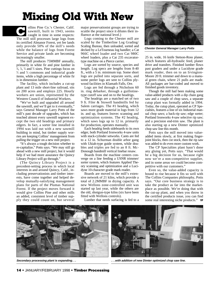# **Mixing Old With New**

ollins Pine Co.'s Chester, Calif. sawmill, built in 1943, seems caught in time in some respects: The mill still processes large logs from its certified Almanor Forest, yet fee lands only provide 50% of the mill's needs while the balance of logs from Forest Service and private lands are becoming increasingly smaller. **C**

The mill produces 75MMBF annually, primarily in white fir and pine lumber in 4 ⁄4, 5 ⁄4, 6 ⁄4 and 8 ⁄4 sizes. Pine cuttings focus on 4 ⁄4 and 6 ⁄4 commons and industrial grade items, while a high percentage of white fir is in dimension lumber.

The facility, which includes a cut-up plant and 13 mile short-line railroad, sits on 200 acres and employs 225. Hourly workers are union, represented by the Western Council of Industrial Workers.

"We've built and upgraded all around the sawmill, and we'll get to it eventually," says General Manager Larry Potts of the mill's past decade of upgrades, which has touched almost every sawmill segment except the two old headrigs and primary edgers. In fact, a sorter line installed in 1994 was laid out with a new sawmill building in mind, but timber supply worries are keeping Collins' management from pulling the trigger on a new mill project.

"It's always a tough decision whether to re-capitalize," Potts says. "We may still go ahead with a new mill project, but it would help if we had more assurance the Quincy Library Project will go through."

(The Quincy Library Project is a precedent-setting process in which local interests in and around Quincy, Calif., including preservationists and timber interests, have come together and helped develop mutually-satisfying management plans for parts of the Plumas National Forest. If the project moves forward it would give Collins Pine and other mills an added, consistent level of timber supply they could count on, but several

major preservationist groups are trying to scuttle the project since it dilutes their influence at the national level.)

Logs coming to the Chester mill are scaled by the Timberline Log Grading/ Scaling Bureau, then unloaded, sorted and decked by a LeTourneau log handler; a Cat 966C wheel loader and two Cat 980C wheel loaders, plus a Cat 235 excavatortype machine on a Pierce carrier.

Logs are sorted by source, species and length. Log specs are lengths from 8-40 ft., with a 5 in. minimum top. Some short logs are pulled into separate sorts, and some peeler logs are sent to Collins plywood facilities in Klamath Falls, Ore.

Logs are fed through a Nicholson 60 in. ring debarker, through a guillotinetype cutoff saw and on to the headrigs.

The headrigs are a matched set of two 9 ft. Filer & Stowell bandmills fed by Salem carriages. The #1 headrig, which saws more grade material in logs from 12 in. and up, features Inovec scanning and optimization systems. The #2 headrig, which saws logs up to 12 in. primarily for production, operates manually.

Each headrig feeds sideboards to its own edger, both Portland Ironworks 4-saw units with stack-cylinder setworks. Cants are fed to a 12 in. Schurman double arbor gang with Ukiah-type guide system, while doubles and triples are fed to an 8 ft. Mc-Donough bandmill vertical linebar resaw.

Boards from the machine centers converge on a line feeding a USNR trimmer/ sorter system, which features Applied Theory scanning and optimization and a Lucidyne 10-character grade mark reader.

Boards are moved to the mill's extensive network of 21 kilns, which provide a total of 2.2MMBF in drying capacity. A new Wellons zone-controlled unit was started up last year, while the others are the old, shotgun-type kilns (six have been fitted with Wellons controls).

Lumber that needs surfacing is fed to a



**Chester General Manager Larry Potts**

25 in. wide, 16 knife Stetson-Ross planer, which features all-hydraulic feed, planer drive and transfers. Finished lumber flows past graders and under a Lucidyne grade mark reader, then on to an Irvington-Moore 20 ft. trimmer and down to a manual green chain, where 21 pulls are made. All packages are bar-coded and moved to finished goods inventory.

Though the mill had been making some value-added products with a dip chain gang saw and a couple of chop saws, a separate cutup plant was formally added in 1994. Today, the cutup plant, operated as CP Specialties, features a line of six Industrial manual chop saws; a back-rip saw; edge sorter; Portland Ironworks 4-saw selective rip saw; and a precision end-trim saw. The plant is also starting up a new Dimter optimized chop saw line this month.

Potts says the mill moved into valueadded items slowly, at first making fingerjoint blocks, then cut stock, then the rip saw was added to do even more custom work.

The CP Specialties plant hasn't done any gluing yet, Potts says. "That would be a big decision for us, because right now we're a non-competitive supplier, and in some areas we could become competitive with our customers."

Even so, the value-added capacity is bound to rise because it fits so well with The Collins Companies philosophy, Potts says. "Our core business strategy is to take the product as far into the marketplace as possible. We're doing that with the cut-up plant, and when you throw in the certified products issue, you can find some real interesting niche products." TP





**Secondary processing plant is expanding. . . . . .with addition of new Dimter optimized chop saw line.**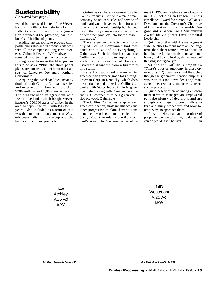## **Sustainability**

*(Continued from page 12)*

would be interested in any of the Weyerhaeuser facilities for sale in Klamath Falls. As a result, the Collins organization purchased the plywood, particleboard and hardboard plants.

Adding the capability to produce composite and value-added products fits well with all the companies' long-term interests, Quinn believes. "We're always interested in extending the resource and finding ways to make the fiber go farther," he says. "Plus, the three panel plants are situated well with our other assets near Lakeview, Ore. and in northern California."

Acquiring the panel facilities instantly doubled both Collins Companies sales and employee numbers to more than \$200 million and 1,000, respectively. The deal included an agreement with U.S. Timberlands (which bought Weyerhaeuser's 600,000 acres of timber in the area) to supply the mills with logs for 10 years. Also included as a term of sale was the continued involvement of Weyerhaeuser's distribution group with the hardboard facilities' products.

Quinn says the arrangement suits Collins Products just fine. "We're a small company, so network sales and service of hardboard would have been hard for us to take on, but the relationship has helped us in other ways, since we also sell some of our other products into their distribution group."

The arrangement reflects the philosophy of Collins Companies that "we can't capitalize and do everything," Quinn says. Such thinking has made the Collins facilities prime examples of operations that have turned the term "strategic alliances" from a buzzword into reality.

Kane Hardwood sells many of its green-certified veneer grade logs through Freeman Corp. in Kentucky, which does the marketing and brokering. Collins also works with States Industries in Eugene, Ore., which along with Freeman were the first U.S. companies to sell green-certified plywood, Quinn says.

The Collins Companies' emphasis on green certification, strategic alliances and other progressive thinking haven't gone unnoticed by others in and outside of industry. Recent awards include the President's Award for Sustainable Development in 1996 and a whole slew of awards in 1997, including an Oregon Business Excellence Award for Strategic Alliances Development; the Governor's Challenge of Change Award for a Sustainable Oregon; and a Green Cross Millennium Award for Corporate Environmental Leadership.

Quinn says that with his management style, he "tries to focus more on the longterm than short-term; I try to focus on building the fundamentals to make things better; and I try to lead by the example of thinking strategically."

As for the Collins Companies, "There's a lot of autonomy in these operations," Quinn says, adding that though the green-certification emphasis was "sort of a top-down decision," managers meet regularly and reach consensus on projects.

Quinn describes an operating environment in which managers are empowered to make plenty of decisions and are strongly encouraged to continually analyze and study procedures and look for news ways to approach them.

"I try to help create an atmosphere of people who enjoy what they're doing and can be proud if it," he says.  $TP$ 

14A **Atchley** V.25 Ad B/W

14B Westcoast V.25 Ad B/W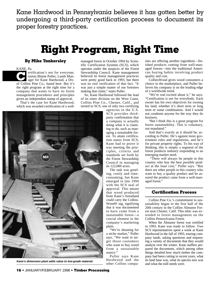Kane Hardwood in Pennsylvania believes it has gotten better by undergoing a third-party certification process to document its proper forestry practices.

## **Right Program, Right Time**

#### **By Mike Tankersley**

KANE, Pa. ertification's not for everyone, insists Blaine Puller, Lands Manager for Kane Hardwood, a Div. of Collins Pine Co., based here. But it's the right program at the right time for a company that wants to have its forest management procedures and principles given an independent stamp of approval. **C**

That's the case for Kane Hardwood, which was awarded certification of a well-



**Kane's dimension plant adds value to low-grade material.**

managed forest in October 1994 by Scientific Certification Systems (SCS), which operates under the auspices of the Forest Stewardship Council. Kane management believed its forest management practices were pretty good back in 1993, but there was no real verification of that fact. "It was just a simple matter of our foresters making that claim," notes Puller.

So, Kane Hardwood followed the lead of its sister division on the West Coast, Collins Pine Co., Chester, Calif., and turned to SCS, one of only two certifying

> agencies in the U.S. SCS provides thirdparty confirmation that a company is actually doing what it is claiming to do, such as managing a sustainable forest. To attain certification status from SCS, Kane had to prove it was meeting the principles, criteria and standards set forth by the Forest Stewardship Council in managing its 122,000 acres.

> The task was grueling, costly and timeconsuming, but Kane emerged in late 1994 with the SCS seal of approval. This meant that wood produced from Kane's forestland could carry the Collins-Wood® tag, signifying that it was documented to have come from a sustainable forest—a crucial element in the company's marketing plans.

"We're shooting for a niche market," Puller says. "We want to target those customers who want to buy wood from a sustainable source."

Puller says Kane Hardwood and the other Collins companies are offering another ingredient—finished products coming from well-managed forests—into the traditional American buying habits involving product quality and cost.

CollinsWood gives wood consumers a choice in the marketplace, and Puller believes his company is on the leading edge of a worldwide trend.

"We're real excited about it," he says. "Certification is not for everybody. Each owner has his own objectives for owning his land, whether it's short term or long term or some combination. And I would not condemn anyone for the way they do business.

"But I think this is a great program for forest sustainability. This is voluntary, not mandated."

And that's exactly as it should be, according to Puller. He's against more government rules and regulations, and he's for private property rights. To his way of thinking, this is simply a segment of the forest products industry responding to an emerging market need.

"There will always be people in this country who buy the best possible product at the least cost," Puller says. "But there are other people in this country who want to buy a quality product and be assured the product came from a well-managed forest."

#### **Certification Process**

Collins Pine Co.'s commitment to sustainability began in the first half of the 20th century in the Collins Almanor Forest near Chester, Calif. This ethic was extended to forest management on the Collins Pennsylvania Forest.

When the Almanor forest was certified in 1993, Kane was ready to follow. Two SCS representatives spent a week at Kane Hardwood in the fall of 1993, touring company lands, asking questions and requesting a variety of documents that they would analyze over the winter. Kane staffers prepared the documents, which among other things detailed how much timber the company had been cutting in recent years, what its land base was, what its species mix was and what the mill needs were.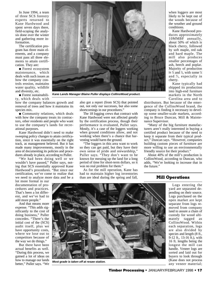In June 1994, a team of three SCS forestry experts returned to Kane Hardwood and spent seven days there, field-scoping the analysis done over the winter and gathering more information.

The certification program has three main elements, and a company must pass all three elements to attain certification. They are:

● Forest ecosystem maintenance, which deals with such issues as how the company controls erosion, maintains water quality, wildlife and diversity, etc.

● Forest sustainability, which deals with

how the company balances growth and removal of trees and how it maintains its species mix.

● Community relations, which deals with how the company treats its contractors, other residents and people who want to use the company's lands for recreational purposes.

Kane Hardwood didn't need to make sweeping policy changes to attain certification, since it was essentially on the right track, as management believed. But it has made many improvements, mostly in the area of documenting its policies and procedures already in place, according to Puller.

"We had been doing well or we wouldn't have passed," Puller says, noting that SCS essentially approved Kane Hardwood's procedures. "But since our certification, we've come to realize that we need to analyze more data and be a

lot more formal in our documentation of procedures and practices. That's been a lot different, and we've had to add more people."

And that means more expense. "This adds significantly to the cost of doing business," Puller concedes. "There's the initial cost of the (SCS) audit itself, plus we have opportunity costs, where we lose out to competitors because of the way we do things."

But there have been actual benefits as well. "During this process, we gained a lot of ideas on how to manage our lands better," Puller says. "We



**Kane Lands Manager Blaine Puller displays CollinsWood product.**

also got a report (from SCS) that pointed out, not only our successes, but also some shortcomings in our procedures."

The 18 logging crews that contract with Kane Hardwood were not affected greatly by the certification process, though their performance is evaluated, Puller says. Mostly, it's a case of the loggers working when ground conditions allow, and not working when there's a chance that harvesting would harm the ground.

"The loggers in this area want to work so they can get paid, but they have their own sense of pride and stewardship," Puller says. "They don't want to be known for messing up the land for a long period of time for short-term dollars, so it was no real problem for them."

As for the mill operation, Kane has had to maintain higher log inventories than are ideal during the spring and fall,

when loggers are most likely to be kept out of the woods because of the weather and ground conditions.

Kane Hardwood produces approximately 10MMBF annually, about 50% of which is black cherry, followed by soft maple, red oak and hard maple. The mill also produces smaller percentages of ash, beech and poplar. Majority of production is  $\frac{4}{4}$  and  $\frac{5}{4}$ , with some  $\frac{6}{4}$ and 8 ⁄4, especially in cherry.

Kane typically had shipped its production into high-end furniture markets in the North Carolina area and to

distributors. But because of the emergence of the CollinsWood brand, the company is finding it necessary to develop some smaller-scale markets, according to Bruce Duncan, Mill & Maintenance Supervisor.

"Many of the big furniture manufacturers aren't really interested in buying a certified product because of the need to keep it separate from their typical product," Duncan says. "However, companies building custom pieces of furniture are more willing to use an environmentally friendly source for their product."

About 40% of the mill's production is CollinsWood, according to Duncan, who adds, "We're looking to increase that in the future."

#### **Mill Operations**



**Most grade is taken off at resaw station.**

Logs entering the yard are separated depending on their source. Logs purchased on the open market are kept separate from logs removed from company land to assure a chain of custody for wood ultimately tagged as CollinsWood. Within each separation, logs are also divided by species and length (8 ft., 9-12 ft., 13-16 ft.), with 16 ft. lengths being the longest the mill can handle. Veneer logs are sorted and laid out for buyers to look through (Kane does not process any veneer material;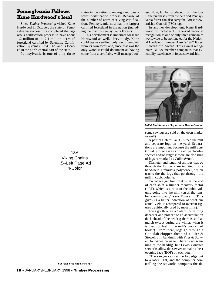## **Pennsylvania Follows Kane Hardwood's lead**

Since *Timber Processing* visited Kane Hardwood in October, the state of Pennsylvania successfully completed the rigorous certification process to have about 1.2 million of its 2.1 million acres of forestland certified by Scientific Certification Systems (SCS). The land is located in the north-central part of the state.

Pennsylvania is one of only three

states in the nation to undergo and pass a forest certification process. Because of the number of acres receiving certification, Pennsylvania now has the largest certified forestland in the nation (including the Collins Pennsylvania Forest).

This development is important for Kane Hardwood as well. Previously, Kane could tag as certified only wood removed from its own forestland, since that was the only wood it could document as having come from a certifiably well-managed forest. Now, lumber produced from the logs Kane purchases from the certified Pennsylvania forest can also carry the Forest Stewardship Council (FSC) logo.

In another development, Kane Hardwood on October 18 received national recognition as one of only three companies worldwide to be nominated for the National Hardwood Lumber Assn.'s 1997 Forest Stewardship Award. This award recognizes NHLA member companies that exemplify excellence in forest stewardship.



**Mill & Maintenance Supervisor Bruce Duncan**

some sawlogs are sold on the open market as well).

A pair of Caterpillar 950s feed the mill and separate logs on the yard. Separations are important because the mill continually processes runs of particular species and/or lengths; there are also runs of logs earmarked as CollinsWood.

Diameter and length of all logs that go through the log deck are inputted into a hand-held Omnidata polycorder, which tracks the the logs that go through the mill in cubic volume.

"What we get from that is, at the end of each shift, a lumber recovery factor (LRF), which is a ratio of the cubic volume going into the mill versus the lumber coming out," says Duncan. "This gives us a better indication of what our actual yield is (compared to overrun figures traditionally used by most mills)."

Logs go through a Salem 35 in. ring debarker and proceed to an accumulation deck ahead of the headrig (bark is sold as mulch except during the winter, when it is used for fuel in the mill's wood-fired boiler). From there, logs go through a Coe slab chipper ahead of a Filer & Stowell 8 ft. bandmill with Filer & Stowell four-knee carriage. There is no scanning at the headrig, but Lewis Controls setworks allow the sawyer to make a best opening face (BOF) on each log.

"The sawyer can set the log edge out to a laser light, and the computer controlling the setworks computes the di-

18A Viking Chains I.5--Left Page Ad 4-Color

**For Fast, Free Info Circle #57**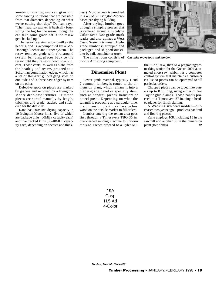ameter of the log and can give him some sawing solutions that are possible from that diameter, depending on what we're cutting that day," Duncan says. "The (headrig) sawyer is basically foursiding the log for the resaw, though he can take some grade off if the resaw gets backed up."

The resaw is a similar bandmill as the headrig and is accompanied by a Mc-Donough linebar and turner system. The resaw removes grade with a runaround system bringing pieces back to the resaw until they're sawn down to a 6 in. cant. Those cants, as well as slabs from the headrig and resaw, proceed to a Schurman combination edger, which has a set of thin-kerf guided gang saws on one side and a three saw edger system on the other.

Defective spots on pieces are marked by graders and removed by a Irvington-Moore drop-saw trimmer. Trimmed pieces are sorted manually by length, thickness and grade, stacked and stickered for the dry kilns.

Kane has 500MBF drying capacity in 10 Irvington-Moore kilns, five of which are package units (60MBF capacity each) and five tracked kilns (35-40MBF capacity each, depending on species and thickness). Most red oak is pre-dried in a 400MBF Irvington-Moorebased pre-drying building.

After drying, lumber goes through a shipping process that is centered around a Lucidyne Color-Scan 300 grade mark reader and also utilizes a West Coast Systems trimmer. Highgrade lumber is strapped and packaged and shipped out either by rail, container or truck.

The filing room consists of **Cat units move logs and lumber.**mostly Armstrong equipment.



#### **Dimension Plant**

Lower grade material, typically 1 and 2 common lumber, is routed to the dimension plant, which remans it into a higher-grade panel or specialty item, such as handrail pieces, balusters or newel posts. Depending on what the sawmill is producing at a particular time, the dimension plant may have to buy wood on the outside market to fill orders.

Lumber entering the reman area goes first through a Timesavers TBO 36 in. dual-headed sanding machine to uniform the size. Pieces proceed to a Tyler MR

(multi-rip) saw, then to a pregrading/premarking station for the Grecon 2004 automated chop saw, which has a computer control system that maintains a customer cut list so pieces can be optimized to fill particular orders.

Chopped pieces can be glued into panels up to 8 ft. long, using either of two Taylor glue clamps. Those panels proceed to a Timesavers 37 in. single-headed planer for finish planing.

A Wadkins six-head molder—purchased two years ago—produces handrail and flooring pieces.

Kane employs 108, including 15 in the sawmill and another 50 in the dimension plant (two shifts). The T

19A **Casp** H.5 Ad 4-Color